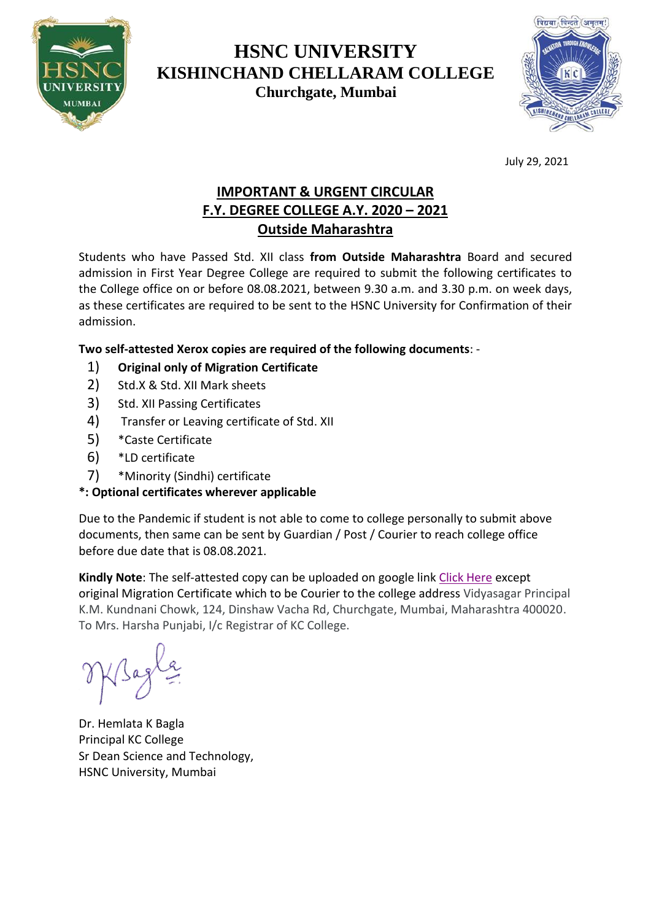

# **HSNC UNIVERSITY KISHINCHAND CHELLARAM COLLEGE Churchgate, Mumbai**



July 29, 2021

# **IMPORTANT & URGENT CIRCULAR F.Y. DEGREE COLLEGE A.Y. 2020 – 2021 Outside Maharashtra**

Students who have Passed Std. XII class **from Outside Maharashtra** Board and secured admission in First Year Degree College are required to submit the following certificates to the College office on or before 08.08.2021, between 9.30 a.m. and 3.30 p.m. on week days, as these certificates are required to be sent to the HSNC University for Confirmation of their admission.

**Two self-attested Xerox copies are required of the following documents**: -

- 1) **Original only of Migration Certificate**
- 2) Std.X & Std. XII Mark sheets
- 3) Std. XII Passing Certificates
- 4) Transfer or Leaving certificate of Std. XII
- 5) \*Caste Certificate
- 6) \*LD certificate
- 7) \*Minority (Sindhi) certificate

#### **\*: Optional certificates wherever applicable**

Due to the Pandemic if student is not able to come to college personally to submit above documents, then same can be sent by Guardian / Post / Courier to reach college office before due date that is 08.08.2021.

**Kindly Note**: The self-attested copy can be uploaded on google link [Click Here](https://forms.gle/exsKHsYtGEaiufBs9) except original Migration Certificate which to be Courier to the college address Vidyasagar Principal K.M. Kundnani Chowk, 124, Dinshaw Vacha Rd, Churchgate, Mumbai, Maharashtra 400020. To Mrs. Harsha Punjabi, I/c Registrar of KC College.

Dr. Hemlata K Bagla Principal KC College Sr Dean Science and Technology, HSNC University, Mumbai